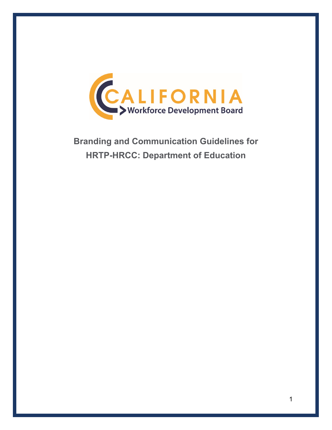

**Branding and Communication Guidelines for HRTP-HRCC: Department of Education**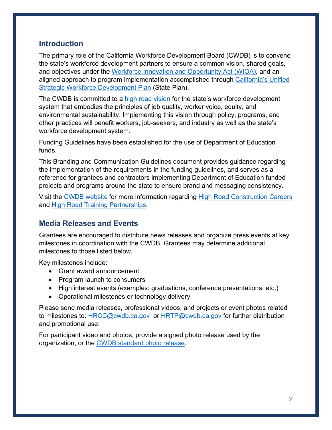## **Introduction**

The primary role of the California Workforce Development Board (CWDB) is to convene the state's workforce development partners to ensure a common vision, shared goals, and objectives under the [Workforce Innovation and Opportunity Act](https://www.doleta.gov/wioa/) (WIOA), and an aligned approach to program implementation accomplished through [California's Unified](https://cwdb.ca.gov/plans_policies/)  [Strategic Workforce Development Plan](https://cwdb.ca.gov/plans_policies/) (State Plan).

The CWDB is committed to a [high road vision](https://cwdb.ca.gov/initiatives/high-road-training-partnerships/) for the state's workforce development system that embodies the principles of job quality, worker voice, equity, and environmental sustainability. Implementing this vision through policy, programs, and other practices will benefit workers, job-seekers, and industry as well as the state's workforce development system.

Funding Guidelines have been established for the use of Department of Education funds.

This Branding and Communication Guidelines document provides guidance regarding the implementation of the requirements in the funding guidelines, and serves as a reference for grantees and contractors implementing Department of Education funded projects and programs around the state to ensure brand and messaging consistency.

Visit the [CWDB website](https://cwdb.ca.gov/) for more information regarding [High Road Construction Careers](https://cwdb.ca.gov/initiatives/hrcc/) and [High Road Training Partnerships.](https://cwdb.ca.gov/initiatives/high-road-training-partnerships/)

## **Media Releases and Events**

Grantees are encouraged to distribute news releases and organize press events at key milestones in coordination with the CWDB. Grantees may determine additional milestones to those listed below.

Key milestones include:

- Grant award announcement
- Program launch to consumers
- High interest events (examples: graduations, conference presentations, etc.)
- Operational milestones or technology delivery

Please send media releases, professional videos, and projects or event photos related to milestones to: [HRCC@cwdb.ca.gov](mailto:HRCC@cwdb.ca.gov) or [HRTP@cwdb.ca.gov](mailto:HRTP@cwdb.ca.gov) for further distribution and promotional use.

For participant video and photos, provide a signed photo release used by the organization, or the [CWDB standard photo release.](file://entcwib/cwib-share/Admin%20Group/Communications/Website/About%20Us%20Page/20.11.16%20CWDB%20Photo-Bio%20ReleaseReaderExtend.pdf)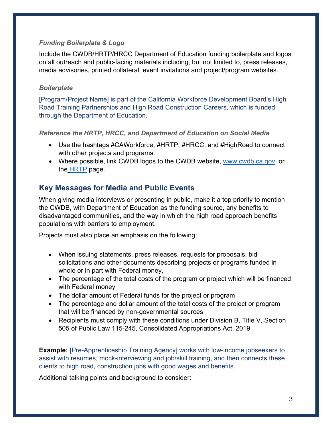### *Funding Boilerplate & Logo*

Include the CWDB/HRTP/HRCC Department of Education funding boilerplate and logos on all outreach and public-facing materials including, but not limited to, press releases, media advisories, printed collateral, event invitations and project/program websites.

### *Boilerplate*

[Program/Project Name] is part of the California Workforce Development Board's High Road Training Partnerships and High Road Construction Careers, which is funded through the Department of Education.

*Reference the HRTP, HRCC, and Department of Education on Social Media*

- Use the hashtags #CAWorkforce, #HRTP, #HRCC, and #HighRoad to connect with other projects and programs.
- Where possible, link CWDB logos to the CWDB website, [www.cwdb.ca.gov,](http://www.cwdb.ca.gov/) or the [HRTP](https://cwdb.ca.gov/initiatives/high-road-training-partnerships/) page.

# **Key Messages for Media and Public Events**

When giving media interviews or presenting in public, make it a top priority to mention the CWDB, with Department of Education as the funding source, any benefits to disadvantaged communities, and the way in which the high road approach benefits populations with barriers to employment.

Projects must also place an emphasis on the following:

- When issuing statements, press releases, requests for proposals, bid solicitations and other documents describing projects or programs funded in whole or in part with Federal money,
- The percentage of the total costs of the program or project which will be financed with Federal money
- The dollar amount of Federal funds for the project or program
- The percentage and dollar amount of the total costs of the project or program that will be financed by non-governmental sources
- Recipients must comply with these conditions under Division B, Title V, Section 505 of Public Law 115-245, Consolidated Appropriations Act, 2019

**Example:** [Pre-Apprenticeship Training Agency] works with low-income jobseekers to assist with resumes, mock-interviewing and job/skill training, and then connects these clients to high road, construction jobs with good wages and benefits.

Additional talking points and background to consider: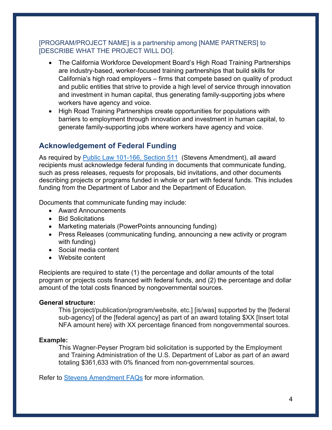## [PROGRAM/PROJECT NAME] is a partnership among [NAME PARTNERS] to [DESCRIBE WHAT THE PROJECT WILL DO].

- The California Workforce Development Board's High Road Training Partnerships are industry-based, worker-focused training partnerships that build skills for California's high road employers – firms that compete based on quality of product and public entities that strive to provide a high level of service through innovation and investment in human capital, thus generating family-supporting jobs where workers have agency and voice.
- High Road Training Partnerships create opportunities for populations with barriers to employment through innovation and investment in human capital, to generate family-supporting jobs where workers have agency and voice.

# **Acknowledgement of Federal Funding**

As required by [Public Law 101-166, Section 511](https://www.congress.gov/115/bills/hr6157/BILLS-115hr6157enr.pdf) (Stevens Amendment), all award recipients must acknowledge federal funding in documents that communicate funding, such as press releases, requests for proposals, bid invitations, and other documents describing projects or programs funded in whole or part with federal funds. This includes funding from the Department of Labor and the Department of Education.

Documents that communicate funding may include:

- Award Announcements
- Bid Solicitations
- Marketing materials (PowerPoints announcing funding)
- Press Releases (communicating funding, announcing a new activity or program with funding)
- Social media content
- Website content

Recipients are required to state (1) the percentage and dollar amounts of the total program or projects costs financed with federal funds, and (2) the percentage and dollar amount of the total costs financed by nongovernmental sources.

#### **General structure:**

This [project/publication/program/website, etc.] [is/was] supported by the [federal sub-agency] of the [federal agency] as part of an award totaling \$XX [Insert total NFA amount here} with XX percentage financed from nongovernmental sources.

#### **Example:**

This Wagner-Peyser Program bid solicitation is supported by the Employment and Training Administration of the U.S. Department of Labor as part of an award totaling \$361,633 with 0% financed from non-governmental sources.

Refer to [Stevens Amendment FAQs](https://www.careersourcepbc.com/Portals/0/Documents/Communications/stevens-amendment%5B1%5D.pdf?ver=vy3FRBUYhnnXUO0Dy_rPkw%3D%3D×tamp=1603391957666) for more information.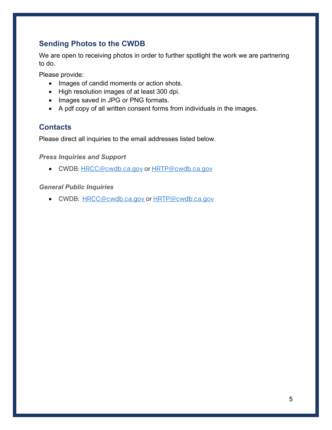## **Sending Photos to the CWDB**

We are open to receiving photos in order to further spotlight the work we are partnering to do.

Please provide:

- Images of candid moments or action shots.
- High resolution images of at least 300 dpi.
- Images saved in JPG or PNG formats.
- A pdf copy of all written consent forms from individuals in the images.

## **Contacts**

Please direct all inquiries to the email addresses listed below.

*Press Inquiries and Support*

• CWDB: [HRCC@cwdb.ca.gov](mailto:HRCC@cwdb.ca.gov) or [HRTP@cwdb.ca.gov](mailto:hrtp@cwdb.ca.gov)

### *General Public Inquiries*

• CWDB: [HRCC@cwdb.ca.gov](mailto:HRCC@cwdb.ca.gov) or [HRTP@cwdb.ca.gov](mailto:hrtp@cwdb.ca.gov)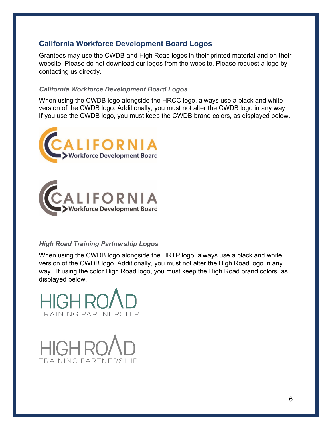## **California Workforce Development Board Logos**

Grantees may use the CWDB and High Road logos in their printed material and on their website. Please do not download our logos from the website. Please request a logo by contacting us directly.

#### *California Workforce Development Board Logos*

When using the CWDB logo alongside the HRCC logo, always use a black and white version of the CWDB logo. Additionally, you must not alter the CWDB logo in any way. If you use the CWDB logo, you must keep the CWDB brand colors, as displayed below.





## *High Road Training Partnership Logos*

When using the CWDB logo alongside the HRTP logo, always use a black and white version of the CWDB logo. Additionally, you must not alter the High Road logo in any way. If using the color High Road logo, you must keep the High Road brand colors, as displayed below.